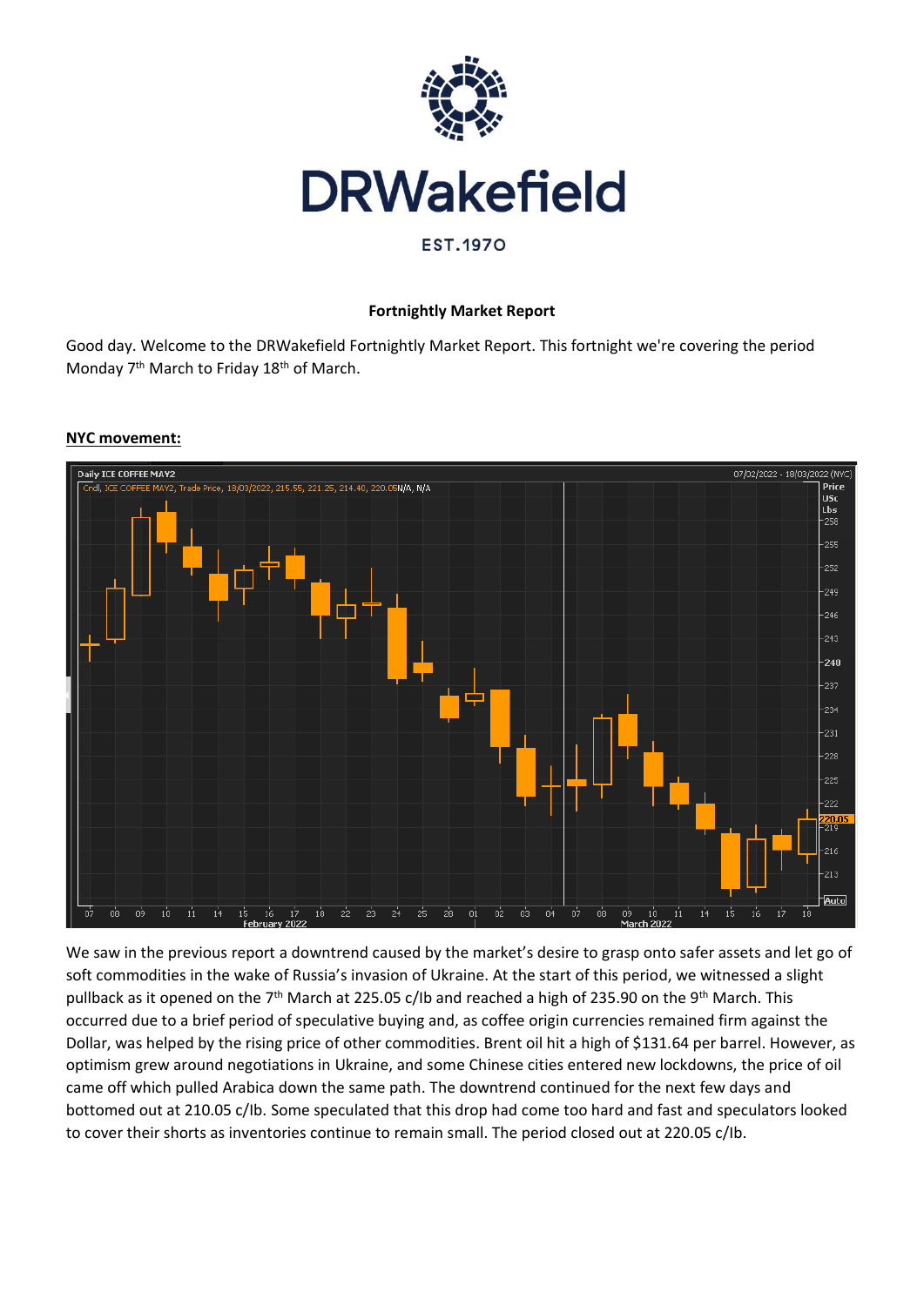

# **Fortnightly Market Report**

Good day. Welcome to the DRWakefield Fortnightly Market Report. This fortnight we're covering the period Monday 7<sup>th</sup> March to Friday 18<sup>th</sup> of March.



#### **NYC movement:**

We saw in the previous report a downtrend caused by the market's desire to grasp onto safer assets and let go of soft commodities in the wake of Russia's invasion of Ukraine. At the start of this period, we witnessed a slight pullback as it opened on the 7<sup>th</sup> March at 225.05 c/lb and reached a high of 235.90 on the 9<sup>th</sup> March. This occurred due to a brief period of speculative buying and, as coffee origin currencies remained firm against the Dollar, was helped by the rising price of other commodities. Brent oil hit a high of \$131.64 per barrel. However, as optimism grew around negotiations in Ukraine, and some Chinese cities entered new lockdowns, the price of oil came off which pulled Arabica down the same path. The downtrend continued for the next few days and bottomed out at 210.05 c/Ib. Some speculated that this drop had come too hard and fast and speculators looked to cover their shorts as inventories continue to remain small. The period closed out at 220.05 c/Ib.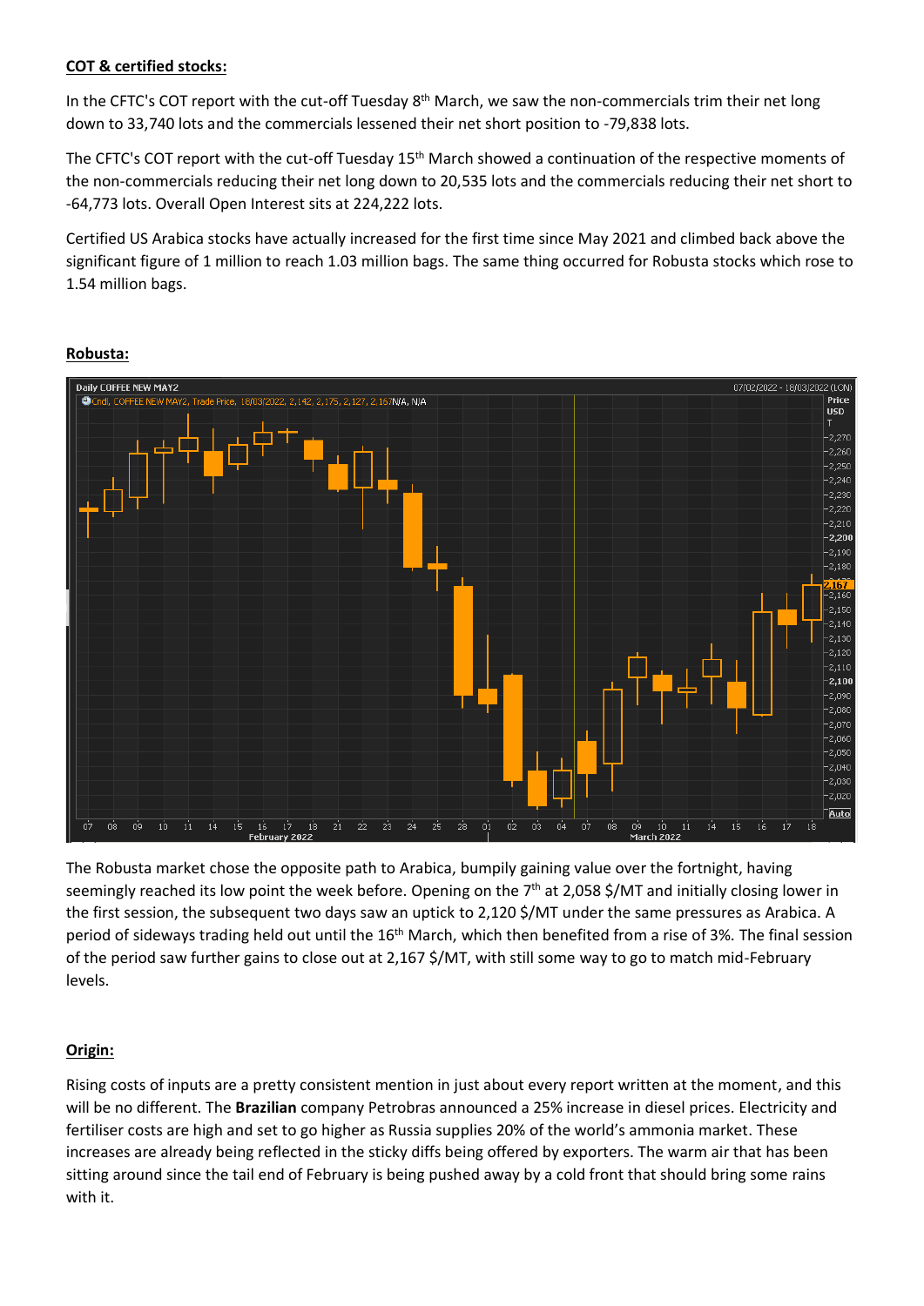#### **COT & certified stocks:**

In the CFTC's COT report with the cut-off Tuesday 8<sup>th</sup> March, we saw the non-commercials trim their net long down to 33,740 lots and the commercials lessened their net short position to -79,838 lots.

The CFTC's COT report with the cut-off Tuesday 15<sup>th</sup> March showed a continuation of the respective moments of the non-commercials reducing their net long down to 20,535 lots and the commercials reducing their net short to -64,773 lots. Overall Open Interest sits at 224,222 lots.

Certified US Arabica stocks have actually increased for the first time since May 2021 and climbed back above the significant figure of 1 million to reach 1.03 million bags. The same thing occurred for Robusta stocks which rose to 1.54 million bags.



## **Robusta:**

The Robusta market chose the opposite path to Arabica, bumpily gaining value over the fortnight, having seemingly reached its low point the week before. Opening on the 7<sup>th</sup> at 2,058 \$/MT and initially closing lower in the first session, the subsequent two days saw an uptick to 2,120 \$/MT under the same pressures as Arabica. A period of sideways trading held out until the 16<sup>th</sup> March, which then benefited from a rise of 3%. The final session of the period saw further gains to close out at 2,167 \$/MT, with still some way to go to match mid-February levels.

# **Origin:**

Rising costs of inputs are a pretty consistent mention in just about every report written at the moment, and this will be no different. The **Brazilian** company Petrobras announced a 25% increase in diesel prices. Electricity and fertiliser costs are high and set to go higher as Russia supplies 20% of the world's ammonia market. These increases are already being reflected in the sticky diffs being offered by exporters. The warm air that has been sitting around since the tail end of February is being pushed away by a cold front that should bring some rains with it.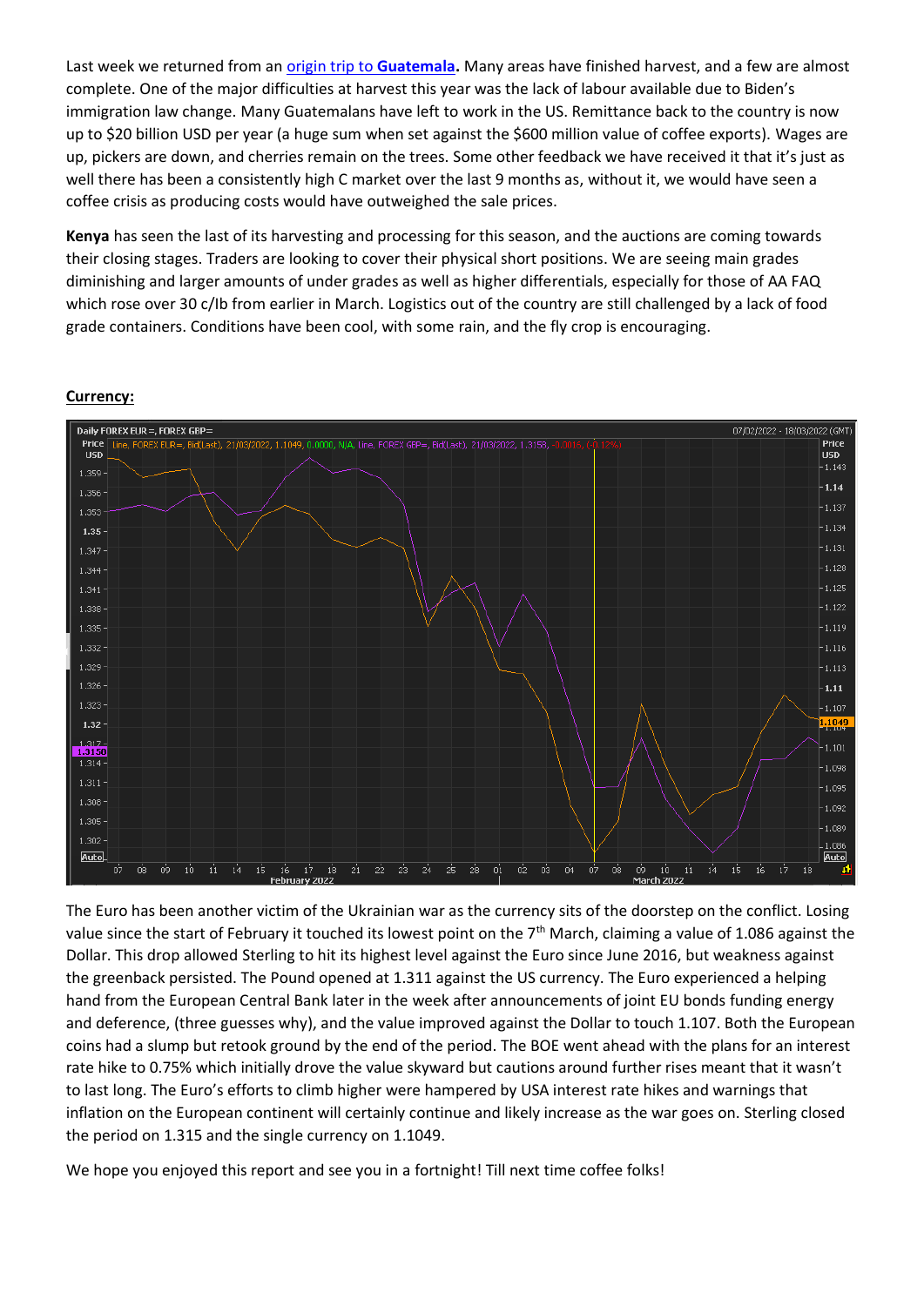Last week we returned from an [origin trip to](https://drwakefield.com/field-trips/guatemala-2022-a-land-of-collective-diversity/) **Guatemala.** Many areas have finished harvest, and a few are almost complete. One of the major difficulties at harvest this year was the lack of labour available due to Biden's immigration law change. Many Guatemalans have left to work in the US. Remittance back to the country is now up to \$20 billion USD per year (a huge sum when set against the \$600 million value of coffee exports). Wages are up, pickers are down, and cherries remain on the trees. Some other feedback we have received it that it's just as well there has been a consistently high C market over the last 9 months as, without it, we would have seen a coffee crisis as producing costs would have outweighed the sale prices.

**Kenya** has seen the last of its harvesting and processing for this season, and the auctions are coming towards their closing stages. Traders are looking to cover their physical short positions. We are seeing main grades diminishing and larger amounts of under grades as well as higher differentials, especially for those of AA FAQ which rose over 30 c/Ib from earlier in March. Logistics out of the country are still challenged by a lack of food grade containers. Conditions have been cool, with some rain, and the fly crop is encouraging.

#### **Currency:**



The Euro has been another victim of the Ukrainian war as the currency sits of the doorstep on the conflict. Losing value since the start of February it touched its lowest point on the 7<sup>th</sup> March, claiming a value of 1.086 against the Dollar. This drop allowed Sterling to hit its highest level against the Euro since June 2016, but weakness against the greenback persisted. The Pound opened at 1.311 against the US currency. The Euro experienced a helping hand from the European Central Bank later in the week after announcements of joint EU bonds funding energy and deference, (three guesses why), and the value improved against the Dollar to touch 1.107. Both the European coins had a slump but retook ground by the end of the period. The BOE went ahead with the plans for an interest rate hike to 0.75% which initially drove the value skyward but cautions around further rises meant that it wasn't to last long. The Euro's efforts to climb higher were hampered by USA interest rate hikes and warnings that inflation on the European continent will certainly continue and likely increase as the war goes on. Sterling closed the period on 1.315 and the single currency on 1.1049.

We hope you enjoyed this report and see you in a fortnight! Till next time coffee folks!